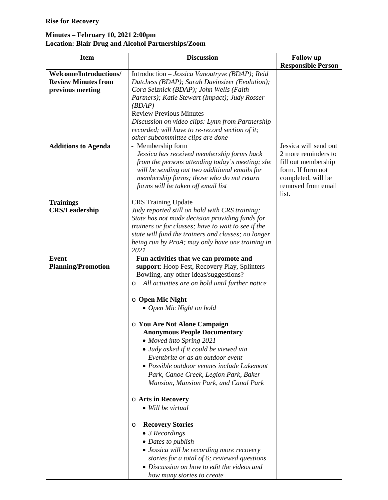## **Minutes – February 10, 2021 2:00pm Location: Blair Drug and Alcohol Partnerships/Zoom**

| <b>Item</b>                   | <b>Discussion</b>                                                                                      | Follow up -               |
|-------------------------------|--------------------------------------------------------------------------------------------------------|---------------------------|
|                               |                                                                                                        | <b>Responsible Person</b> |
| <b>Welcome/Introductions/</b> | Introduction - Jessica Vanoutryve (BDAP); Reid                                                         |                           |
| <b>Review Minutes from</b>    | Dutchess (BDAP); Sarah Davinsizer (Evolution);                                                         |                           |
| previous meeting              | Cora Selznick (BDAP); John Wells (Faith                                                                |                           |
|                               | Partners); Katie Stewart (Impact); Judy Rosser                                                         |                           |
|                               | (BDAP)<br>Review Previous Minutes -                                                                    |                           |
|                               | Discussion on video clips: Lynn from Partnership                                                       |                           |
|                               | recorded; will have to re-record section of it;                                                        |                           |
|                               | other subcommittee clips are done                                                                      |                           |
| <b>Additions to Agenda</b>    | - Membership form                                                                                      | Jessica will send out     |
|                               | Jessica has received membership forms back                                                             | 2 more reminders to       |
|                               | from the persons attending today's meeting; she                                                        | fill out membership       |
|                               | will be sending out two additional emails for                                                          | form. If form not         |
|                               | membership forms; those who do not return                                                              | completed, will be        |
|                               | forms will be taken off email list                                                                     | removed from email        |
|                               |                                                                                                        | list.                     |
| Trainings-                    | <b>CRS</b> Training Update                                                                             |                           |
| <b>CRS/Leadership</b>         | Judy reported still on hold with CRS training;                                                         |                           |
|                               | State has not made decision providing funds for<br>trainers or for classes; have to wait to see if the |                           |
|                               | state will fund the trainers and classes; no longer                                                    |                           |
|                               | being run by ProA; may only have one training in                                                       |                           |
|                               | 2021                                                                                                   |                           |
| <b>Event</b>                  | Fun activities that we can promote and                                                                 |                           |
| <b>Planning/Promotion</b>     | support: Hoop Fest, Recovery Play, Splinters                                                           |                           |
|                               | Bowling, any other ideas/suggestions?                                                                  |                           |
|                               | All activities are on hold until further notice<br>O                                                   |                           |
|                               | $\circ$ Open Mic Night                                                                                 |                           |
|                               | • Open Mic Night on hold                                                                               |                           |
|                               |                                                                                                        |                           |
|                               | o You Are Not Alone Campaign                                                                           |                           |
|                               | <b>Anonymous People Documentary</b>                                                                    |                           |
|                               | • Moved into Spring 2021                                                                               |                           |
|                               | • Judy asked if it could be viewed via                                                                 |                           |
|                               | Eventbrite or as an outdoor event                                                                      |                           |
|                               | • Possible outdoor venues include Lakemont                                                             |                           |
|                               | Park, Canoe Creek, Legion Park, Baker                                                                  |                           |
|                               | Mansion, Mansion Park, and Canal Park                                                                  |                           |
|                               | o Arts in Recovery                                                                                     |                           |
|                               | • Will be virtual                                                                                      |                           |
|                               | <b>Recovery Stories</b><br>$\circ$                                                                     |                           |
|                               | $\bullet$ 3 Recordings                                                                                 |                           |
|                               | • Dates to publish                                                                                     |                           |
|                               | • Jessica will be recording more recovery                                                              |                           |
|                               | stories for a total of 6; reviewed questions                                                           |                           |
|                               | • Discussion on how to edit the videos and                                                             |                           |
|                               | how many stories to create                                                                             |                           |